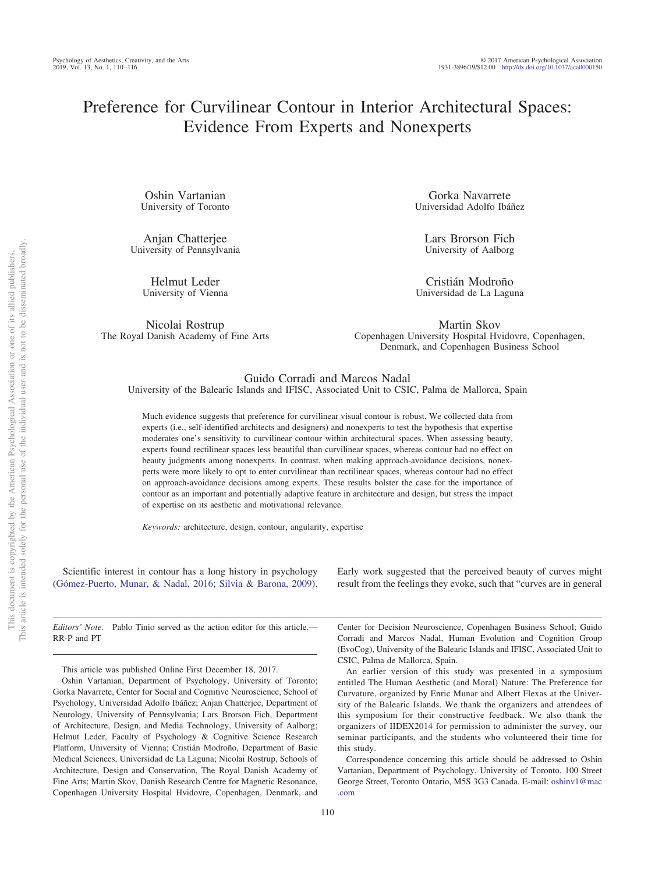# Preference for Curvilinear Contour in Interior Architectural Spaces: Evidence From Experts and Nonexperts

Oshin Vartanian University of Toronto

Anjan Chatterjee University of Pennsylvania

> Helmut Leder University of Vienna

Nicolai Rostrup The Royal Danish Academy of Fine Arts

Gorka Navarrete Universidad Adolfo Ibáñez

Lars Brorson Fich University of Aalborg

Cristián Modroño Universidad de La Laguna

Martin Skov Copenhagen University Hospital Hvidovre, Copenhagen, Denmark, and Copenhagen Business School

# Guido Corradi and Marcos Nadal

University of the Balearic Islands and IFISC, Associated Unit to CSIC, Palma de Mallorca, Spain

Much evidence suggests that preference for curvilinear visual contour is robust. We collected data from experts (i.e., self-identified architects and designers) and nonexperts to test the hypothesis that expertise moderates one's sensitivity to curvilinear contour within architectural spaces. When assessing beauty, experts found rectilinear spaces less beautiful than curvilinear spaces, whereas contour had no effect on beauty judgments among nonexperts. In contrast, when making approach-avoidance decisions, nonexperts were more likely to opt to enter curvilinear than rectilinear spaces, whereas contour had no effect on approach-avoidance decisions among experts. These results bolster the case for the importance of contour as an important and potentially adaptive feature in architecture and design, but stress the impact of expertise on its aesthetic and motivational relevance.

*Keywords:* architecture, design, contour, angularity, expertise

Scientific interest in contour has a long history in psychology [\(Gómez-Puerto, Munar, & Nadal, 2016;](#page-5-0) [Silvia & Barona, 2009\)](#page-6-0).

*Editors' Note.* Pablo Tinio served as the action editor for this article.— RR-P and PT

This article was published Online First December 18, 2017.

Oshin Vartanian, Department of Psychology, University of Toronto; Gorka Navarrete, Center for Social and Cognitive Neuroscience, School of Psychology, Universidad Adolfo Ibáñez; Anjan Chatterjee, Department of Neurology, University of Pennsylvania; Lars Brorson Fich, Department of Architecture, Design, and Media Technology, University of Aalborg; Helmut Leder, Faculty of Psychology & Cognitive Science Research Platform, University of Vienna; Cristián Modroño, Department of Basic Medical Sciences, Universidad de La Laguna; Nicolai Rostrup, Schools of Architecture, Design and Conservation, The Royal Danish Academy of Fine Arts; Martin Skov, Danish Research Centre for Magnetic Resonance, Copenhagen University Hospital Hvidovre, Copenhagen, Denmark, and

Early work suggested that the perceived beauty of curves might result from the feelings they evoke, such that "curves are in general

Center for Decision Neuroscience, Copenhagen Business School; Guido Corradi and Marcos Nadal, Human Evolution and Cognition Group (EvoCog), University of the Balearic Islands and IFISC, Associated Unit to CSIC, Palma de Mallorca, Spain.

An earlier version of this study was presented in a symposium entitled The Human Aesthetic (and Moral) Nature: The Preference for Curvature, organized by Enric Munar and Albert Flexas at the University of the Balearic Islands. We thank the organizers and attendees of this symposium for their constructive feedback. We also thank the organizers of IIDEX2014 for permission to administer the survey, our seminar participants, and the students who volunteered their time for this study.

Correspondence concerning this article should be addressed to Oshin Vartanian, Department of Psychology, University of Toronto, 100 Street George Street, Toronto Ontario, M5S 3G3 Canada. E-mail: [oshinv1@mac](mailto:oshinv1@mac.com) [.com](mailto:oshinv1@mac.com)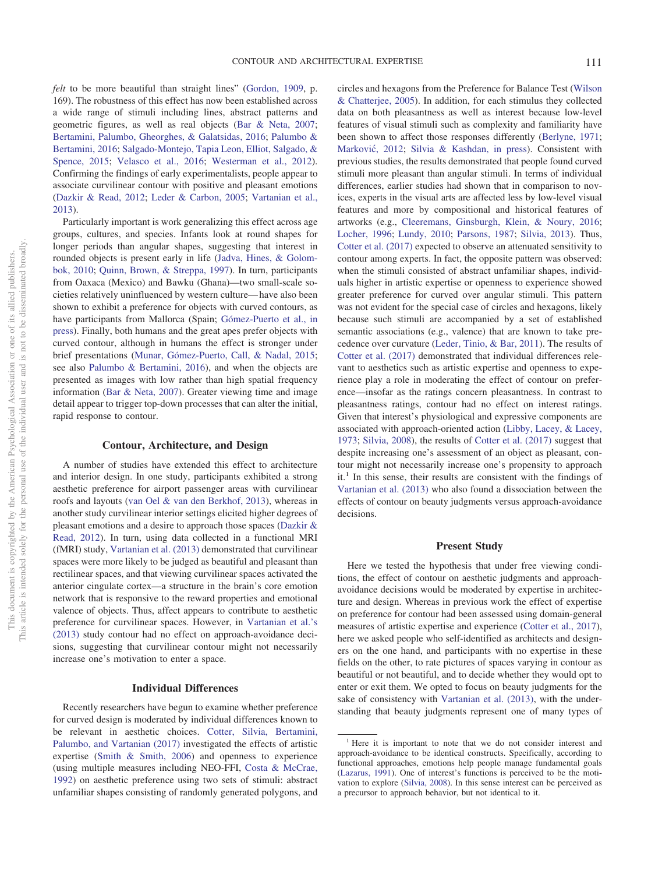*felt* to be more beautiful than straight lines" [\(Gordon, 1909,](#page-5-1) p. 169). The robustness of this effect has now been established across a wide range of stimuli including lines, abstract patterns and geometric figures, as well as real objects [\(Bar & Neta, 2007;](#page-5-2) [Bertamini, Palumbo, Gheorghes, & Galatsidas, 2016;](#page-5-3) [Palumbo &](#page-6-1) [Bertamini, 2016;](#page-6-1) [Salgado-Montejo, Tapia Leon, Elliot, Salgado, &](#page-6-2) [Spence, 2015;](#page-6-2) [Velasco et al., 2016;](#page-6-3) [Westerman et al., 2012\)](#page-6-4). Confirming the findings of early experimentalists, people appear to associate curvilinear contour with positive and pleasant emotions [\(Dazkir & Read, 2012;](#page-5-4) [Leder & Carbon, 2005;](#page-6-5) [Vartanian et al.,](#page-6-6) [2013\)](#page-6-6).

Particularly important is work generalizing this effect across age groups, cultures, and species. Infants look at round shapes for longer periods than angular shapes, suggesting that interest in rounded objects is present early in life [\(Jadva, Hines, & Golom](#page-5-5)[bok, 2010;](#page-5-5) [Quinn, Brown, & Streppa, 1997\)](#page-6-7). In turn, participants from Oaxaca (Mexico) and Bawku (Ghana)—two small-scale societies relatively uninfluenced by western culture— have also been shown to exhibit a preference for objects with curved contours, as have participants from Mallorca (Spain; [Gómez-Puerto et al., in](#page-5-6) [press\)](#page-5-6). Finally, both humans and the great apes prefer objects with curved contour, although in humans the effect is stronger under brief presentations [\(Munar, Gómez-Puerto, Call, & Nadal, 2015;](#page-6-8) see also [Palumbo & Bertamini, 2016\)](#page-6-1), and when the objects are presented as images with low rather than high spatial frequency information [\(Bar & Neta, 2007\)](#page-5-2). Greater viewing time and image detail appear to trigger top-down processes that can alter the initial, rapid response to contour.

# **Contour, Architecture, and Design**

A number of studies have extended this effect to architecture and interior design. In one study, participants exhibited a strong aesthetic preference for airport passenger areas with curvilinear roofs and layouts [\(van Oel & van den Berkhof, 2013\)](#page-6-9), whereas in another study curvilinear interior settings elicited higher degrees of pleasant emotions and a desire to approach those spaces [\(Dazkir &](#page-5-4) [Read, 2012\)](#page-5-4). In turn, using data collected in a functional MRI (fMRI) study, [Vartanian et al. \(2013\)](#page-6-6) demonstrated that curvilinear spaces were more likely to be judged as beautiful and pleasant than rectilinear spaces, and that viewing curvilinear spaces activated the anterior cingulate cortex—a structure in the brain's core emotion network that is responsive to the reward properties and emotional valence of objects. Thus, affect appears to contribute to aesthetic preference for curvilinear spaces. However, in [Vartanian et al.'s](#page-6-6) [\(2013\)](#page-6-6) study contour had no effect on approach-avoidance decisions, suggesting that curvilinear contour might not necessarily increase one's motivation to enter a space.

#### **Individual Differences**

Recently researchers have begun to examine whether preference for curved design is moderated by individual differences known to be relevant in aesthetic choices. [Cotter, Silvia, Bertamini,](#page-5-7) [Palumbo, and Vartanian \(2017\)](#page-5-7) investigated the effects of artistic expertise [\(Smith & Smith, 2006\)](#page-6-10) and openness to experience (using multiple measures including NEO-FFI, [Costa & McCrae,](#page-5-8) [1992\)](#page-5-8) on aesthetic preference using two sets of stimuli: abstract unfamiliar shapes consisting of randomly generated polygons, and circles and hexagons from the Preference for Balance Test [\(Wilson](#page-6-11) [& Chatterjee, 2005\)](#page-6-11). In addition, for each stimulus they collected data on both pleasantness as well as interest because low-level features of visual stimuli such as complexity and familiarity have been shown to affect those responses differently [\(Berlyne, 1971;](#page-5-9) Marković, 2012; [Silvia & Kashdan, in press\)](#page-6-13). Consistent with previous studies, the results demonstrated that people found curved stimuli more pleasant than angular stimuli. In terms of individual differences, earlier studies had shown that in comparison to novices, experts in the visual arts are affected less by low-level visual features and more by compositional and historical features of artworks (e.g., [Cleeremans, Ginsburgh, Klein, & Noury, 2016;](#page-5-10) [Locher, 1996;](#page-6-14) [Lundy, 2010;](#page-6-15) [Parsons, 1987;](#page-6-16) [Silvia, 2013\)](#page-6-17). Thus, [Cotter et al. \(2017\)](#page-5-7) expected to observe an attenuated sensitivity to contour among experts. In fact, the opposite pattern was observed: when the stimuli consisted of abstract unfamiliar shapes, individuals higher in artistic expertise or openness to experience showed greater preference for curved over angular stimuli. This pattern was not evident for the special case of circles and hexagons, likely because such stimuli are accompanied by a set of established semantic associations (e.g., valence) that are known to take precedence over curvature [\(Leder, Tinio, & Bar, 2011\)](#page-6-18). The results of [Cotter et al. \(2017\)](#page-5-7) demonstrated that individual differences relevant to aesthetics such as artistic expertise and openness to experience play a role in moderating the effect of contour on preference—insofar as the ratings concern pleasantness. In contrast to pleasantness ratings, contour had no effect on interest ratings. Given that interest's physiological and expressive components are associated with approach-oriented action [\(Libby, Lacey, & Lacey,](#page-6-19) [1973;](#page-6-19) [Silvia, 2008\)](#page-6-20), the results of [Cotter et al. \(2017\)](#page-5-7) suggest that despite increasing one's assessment of an object as pleasant, contour might not necessarily increase one's propensity to approach  $it<sup>1</sup>$ . In this sense, their results are consistent with the findings of [Vartanian et al. \(2013\)](#page-6-6) who also found a dissociation between the effects of contour on beauty judgments versus approach-avoidance decisions.

#### **Present Study**

Here we tested the hypothesis that under free viewing conditions, the effect of contour on aesthetic judgments and approachavoidance decisions would be moderated by expertise in architecture and design. Whereas in previous work the effect of expertise on preference for contour had been assessed using domain-general measures of artistic expertise and experience [\(Cotter et al., 2017\)](#page-5-7), here we asked people who self-identified as architects and designers on the one hand, and participants with no expertise in these fields on the other, to rate pictures of spaces varying in contour as beautiful or not beautiful, and to decide whether they would opt to enter or exit them. We opted to focus on beauty judgments for the sake of consistency with [Vartanian et al. \(2013\),](#page-6-6) with the understanding that beauty judgments represent one of many types of

<sup>&</sup>lt;sup>1</sup> Here it is important to note that we do not consider interest and approach-avoidance to be identical constructs. Specifically, according to functional approaches, emotions help people manage fundamental goals [\(Lazarus, 1991\)](#page-6-21). One of interest's functions is perceived to be the motivation to explore [\(Silvia, 2008\)](#page-6-20). In this sense interest can be perceived as a precursor to approach behavior, but not identical to it.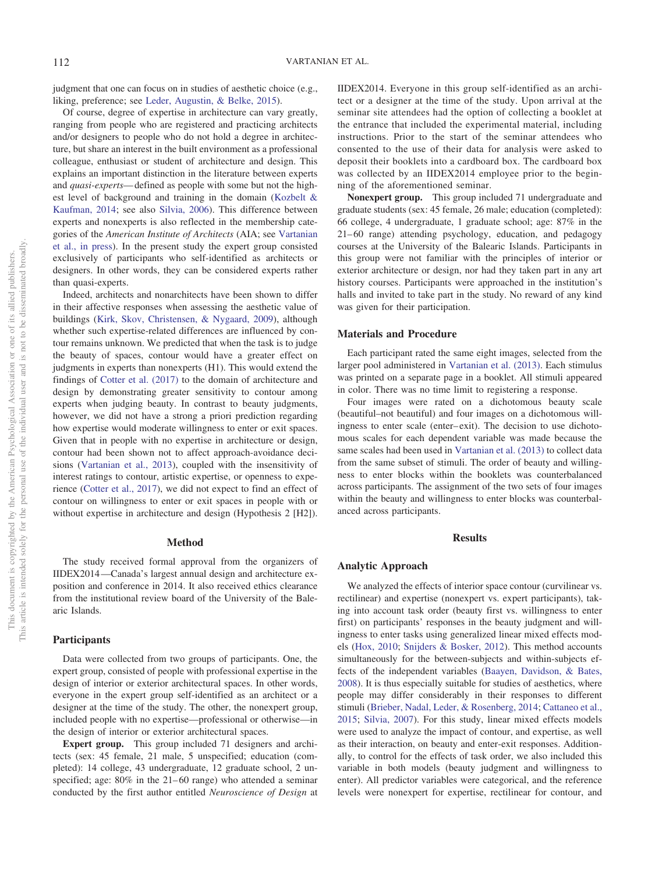judgment that one can focus on in studies of aesthetic choice (e.g., liking, preference; see [Leder, Augustin, & Belke, 2015\)](#page-6-22).

Of course, degree of expertise in architecture can vary greatly, ranging from people who are registered and practicing architects and/or designers to people who do not hold a degree in architecture, but share an interest in the built environment as a professional colleague, enthusiast or student of architecture and design. This explains an important distinction in the literature between experts and *quasi-experts*— defined as people with some but not the highest level of background and training in the domain [\(Kozbelt &](#page-6-23) [Kaufman, 2014;](#page-6-23) see also [Silvia, 2006\)](#page-6-24). This difference between experts and nonexperts is also reflected in the membership categories of the *American Institute of Architects* (AIA; see [Vartanian](#page-6-25) [et al., in press\)](#page-6-25). In the present study the expert group consisted exclusively of participants who self-identified as architects or designers. In other words, they can be considered experts rather than quasi-experts.

Indeed, architects and nonarchitects have been shown to differ in their affective responses when assessing the aesthetic value of buildings [\(Kirk, Skov, Christensen, & Nygaard, 2009\)](#page-6-26), although whether such expertise-related differences are influenced by contour remains unknown. We predicted that when the task is to judge the beauty of spaces, contour would have a greater effect on judgments in experts than nonexperts (H1). This would extend the findings of [Cotter et al. \(2017\)](#page-5-7) to the domain of architecture and design by demonstrating greater sensitivity to contour among experts when judging beauty. In contrast to beauty judgments, however, we did not have a strong a priori prediction regarding how expertise would moderate willingness to enter or exit spaces. Given that in people with no expertise in architecture or design, contour had been shown not to affect approach-avoidance decisions [\(Vartanian et al., 2013\)](#page-6-6), coupled with the insensitivity of interest ratings to contour, artistic expertise, or openness to experience [\(Cotter et al., 2017\)](#page-5-7), we did not expect to find an effect of contour on willingness to enter or exit spaces in people with or without expertise in architecture and design (Hypothesis 2 [H2]).

#### **Method**

The study received formal approval from the organizers of IIDEX2014—Canada's largest annual design and architecture exposition and conference in 2014. It also received ethics clearance from the institutional review board of the University of the Balearic Islands.

#### **Participants**

Data were collected from two groups of participants. One, the expert group, consisted of people with professional expertise in the design of interior or exterior architectural spaces. In other words, everyone in the expert group self-identified as an architect or a designer at the time of the study. The other, the nonexpert group, included people with no expertise—professional or otherwise—in the design of interior or exterior architectural spaces.

**Expert group.** This group included 71 designers and architects (sex: 45 female, 21 male, 5 unspecified; education (completed): 14 college, 43 undergraduate, 12 graduate school, 2 unspecified; age:  $80\%$  in the  $21-60$  range) who attended a seminar conducted by the first author entitled *Neuroscience of Design* at IIDEX2014. Everyone in this group self-identified as an architect or a designer at the time of the study. Upon arrival at the seminar site attendees had the option of collecting a booklet at the entrance that included the experimental material, including instructions. Prior to the start of the seminar attendees who consented to the use of their data for analysis were asked to deposit their booklets into a cardboard box. The cardboard box was collected by an IIDEX2014 employee prior to the beginning of the aforementioned seminar.

**Nonexpert group.** This group included 71 undergraduate and graduate students (sex: 45 female, 26 male; education (completed): 66 college, 4 undergraduate, 1 graduate school; age: 87% in the 21– 60 range) attending psychology, education, and pedagogy courses at the University of the Balearic Islands. Participants in this group were not familiar with the principles of interior or exterior architecture or design, nor had they taken part in any art history courses. Participants were approached in the institution's halls and invited to take part in the study. No reward of any kind was given for their participation.

#### **Materials and Procedure**

Each participant rated the same eight images, selected from the larger pool administered in [Vartanian et al. \(2013\).](#page-6-6) Each stimulus was printed on a separate page in a booklet. All stimuli appeared in color. There was no time limit to registering a response.

Four images were rated on a dichotomous beauty scale (beautiful–not beautiful) and four images on a dichotomous willingness to enter scale (enter– exit). The decision to use dichotomous scales for each dependent variable was made because the same scales had been used in [Vartanian et al. \(2013\)](#page-6-6) to collect data from the same subset of stimuli. The order of beauty and willingness to enter blocks within the booklets was counterbalanced across participants. The assignment of the two sets of four images within the beauty and willingness to enter blocks was counterbalanced across participants.

## **Results**

#### **Analytic Approach**

We analyzed the effects of interior space contour (curvilinear vs. rectilinear) and expertise (nonexpert vs. expert participants), taking into account task order (beauty first vs. willingness to enter first) on participants' responses in the beauty judgment and willingness to enter tasks using generalized linear mixed effects models [\(Hox, 2010;](#page-5-11) [Snijders & Bosker, 2012\)](#page-6-27). This method accounts simultaneously for the between-subjects and within-subjects effects of the independent variables [\(Baayen, Davidson, & Bates,](#page-5-12) [2008\)](#page-5-12). It is thus especially suitable for studies of aesthetics, where people may differ considerably in their responses to different stimuli [\(Brieber, Nadal, Leder, & Rosenberg, 2014;](#page-5-13) [Cattaneo et al.,](#page-5-14) [2015;](#page-5-14) [Silvia, 2007\)](#page-6-28). For this study, linear mixed effects models were used to analyze the impact of contour, and expertise, as well as their interaction, on beauty and enter-exit responses. Additionally, to control for the effects of task order, we also included this variable in both models (beauty judgment and willingness to enter). All predictor variables were categorical, and the reference levels were nonexpert for expertise, rectilinear for contour, and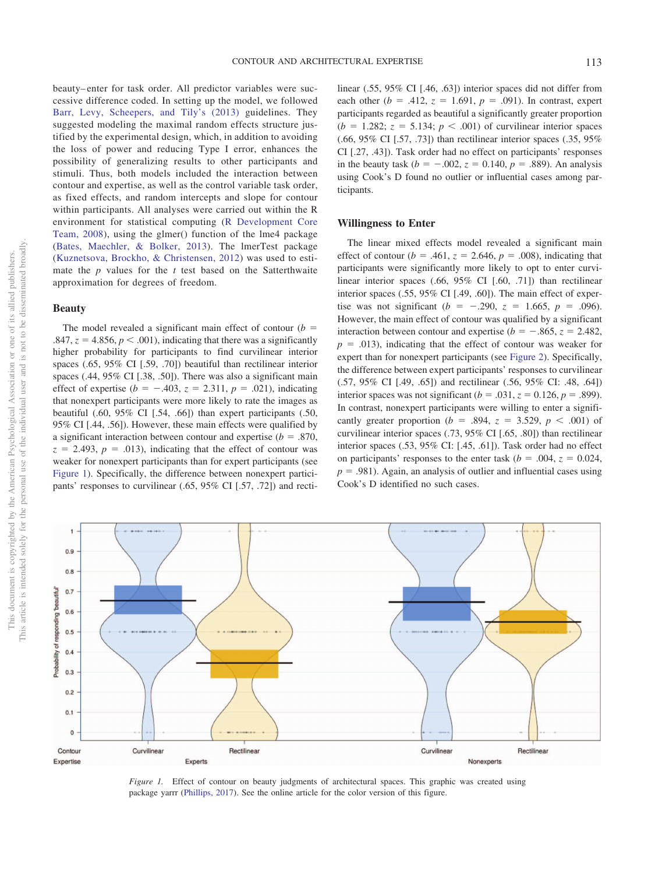beauty– enter for task order. All predictor variables were successive difference coded. In setting up the model, we followed [Barr, Levy, Scheepers, and Tily's \(2013\)](#page-5-15) guidelines. They suggested modeling the maximal random effects structure justified by the experimental design, which, in addition to avoiding the loss of power and reducing Type I error, enhances the possibility of generalizing results to other participants and stimuli. Thus, both models included the interaction between contour and expertise, as well as the control variable task order, as fixed effects, and random intercepts and slope for contour within participants. All analyses were carried out within the R environment for statistical computing [\(R Development Core](#page-6-29) [Team, 2008\)](#page-6-29), using the glmer() function of the lme4 package [\(Bates, Maechler, & Bolker, 2013\)](#page-5-16). The lmerTest package [\(Kuznetsova, Brockho, & Christensen, 2012\)](#page-6-30) was used to estimate the *p* values for the *t* test based on the Satterthwaite approximation for degrees of freedom.

# **Beauty**

The model revealed a significant main effect of contour  $(b =$  $.847, z = 4.856, p < .001$ , indicating that there was a significantly higher probability for participants to find curvilinear interior spaces (.65, 95% CI [.59, .70]) beautiful than rectilinear interior spaces (.44, 95% CI [.38, .50]). There was also a significant main effect of expertise  $(b = -.403, z = 2.311, p = .021)$ , indicating that nonexpert participants were more likely to rate the images as beautiful (.60, 95% CI [.54, .66]) than expert participants (.50, 95% CI [.44, .56]). However, these main effects were qualified by a significant interaction between contour and expertise  $(b = .870, )$  $z = 2.493$ ,  $p = .013$ ), indicating that the effect of contour was weaker for nonexpert participants than for expert participants (see [Figure 1\)](#page-3-0). Specifically, the difference between nonexpert participants' responses to curvilinear (.65, 95% CI [.57, .72]) and rectilinear (.55, 95% CI [.46, .63]) interior spaces did not differ from each other  $(b = .412, z = 1.691, p = .091)$ . In contrast, expert participants regarded as beautiful a significantly greater proportion  $(b = 1.282; z = 5.134; p < .001)$  of curvilinear interior spaces (.66, 95% CI [.57, .73]) than rectilinear interior spaces (.35, 95% CI [.27, .43]). Task order had no effect on participants' responses in the beauty task  $(b = -.002, z = 0.140, p = .889)$ . An analysis using Cook's D found no outlier or influential cases among participants.

#### **Willingness to Enter**

The linear mixed effects model revealed a significant main effect of contour ( $b = .461$ ,  $z = 2.646$ ,  $p = .008$ ), indicating that participants were significantly more likely to opt to enter curvilinear interior spaces (.66, 95% CI [.60, .71]) than rectilinear interior spaces (.55, 95% CI [.49, .60]). The main effect of expertise was not significant  $(b = -.290, z = 1.665, p = .096)$ . However, the main effect of contour was qualified by a significant interaction between contour and expertise ( $b = -.865$ ,  $z = 2.482$ ,  $p = .013$ ), indicating that the effect of contour was weaker for expert than for nonexpert participants (see [Figure 2\)](#page-4-0). Specifically, the difference between expert participants' responses to curvilinear (.57, 95% CI [.49, .65]) and rectilinear (.56, 95% CI: .48, .64]) interior spaces was not significant  $(b = .031, z = 0.126, p = .899)$ . In contrast, nonexpert participants were willing to enter a significantly greater proportion ( $b = .894$ ,  $z = 3.529$ ,  $p < .001$ ) of curvilinear interior spaces (.73, 95% CI [.65, .80]) than rectilinear interior spaces (.53, 95% CI: [.45, .61]). Task order had no effect on participants' responses to the enter task ( $b = .004$ ,  $z = 0.024$ ,  $p = .981$ ). Again, an analysis of outlier and influential cases using Cook's D identified no such cases.



<span id="page-3-0"></span>*Figure 1.* Effect of contour on beauty judgments of architectural spaces. This graphic was created using package yarrr [\(Phillips, 2017\)](#page-6-31). See the online article for the color version of this figure.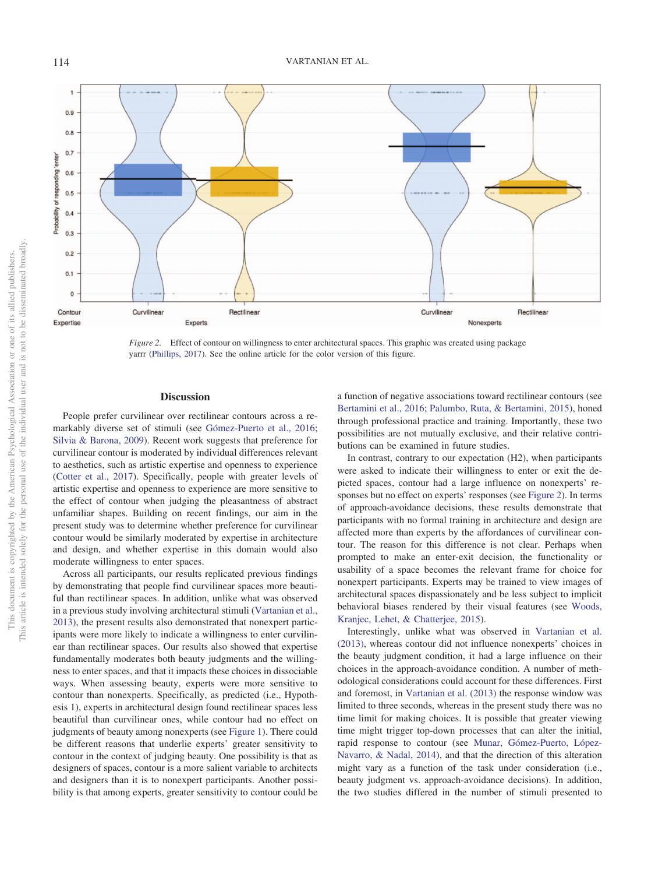

<span id="page-4-0"></span>*Figure 2.* Effect of contour on willingness to enter architectural spaces. This graphic was created using package yarrr [\(Phillips, 2017\)](#page-6-31). See the online article for the color version of this figure.

## **Discussion**

People prefer curvilinear over rectilinear contours across a remarkably diverse set of stimuli (see [Gómez-Puerto et al., 2016;](#page-5-0) [Silvia & Barona, 2009\)](#page-6-0). Recent work suggests that preference for curvilinear contour is moderated by individual differences relevant to aesthetics, such as artistic expertise and openness to experience [\(Cotter et al., 2017\)](#page-5-7). Specifically, people with greater levels of artistic expertise and openness to experience are more sensitive to the effect of contour when judging the pleasantness of abstract unfamiliar shapes. Building on recent findings, our aim in the present study was to determine whether preference for curvilinear contour would be similarly moderated by expertise in architecture and design, and whether expertise in this domain would also moderate willingness to enter spaces.

Across all participants, our results replicated previous findings by demonstrating that people find curvilinear spaces more beautiful than rectilinear spaces. In addition, unlike what was observed in a previous study involving architectural stimuli [\(Vartanian et al.,](#page-6-6) [2013\)](#page-6-6), the present results also demonstrated that nonexpert participants were more likely to indicate a willingness to enter curvilinear than rectilinear spaces. Our results also showed that expertise fundamentally moderates both beauty judgments and the willingness to enter spaces, and that it impacts these choices in dissociable ways. When assessing beauty, experts were more sensitive to contour than nonexperts. Specifically, as predicted (i.e., Hypothesis 1), experts in architectural design found rectilinear spaces less beautiful than curvilinear ones, while contour had no effect on judgments of beauty among nonexperts (see [Figure 1\)](#page-3-0). There could be different reasons that underlie experts' greater sensitivity to contour in the context of judging beauty. One possibility is that as designers of spaces, contour is a more salient variable to architects and designers than it is to nonexpert participants. Another possibility is that among experts, greater sensitivity to contour could be a function of negative associations toward rectilinear contours (see [Bertamini et al., 2016;](#page-5-3) [Palumbo, Ruta, & Bertamini, 2015\)](#page-6-32), honed through professional practice and training. Importantly, these two possibilities are not mutually exclusive, and their relative contributions can be examined in future studies.

In contrast, contrary to our expectation (H2), when participants were asked to indicate their willingness to enter or exit the depicted spaces, contour had a large influence on nonexperts' responses but no effect on experts' responses (see [Figure 2\)](#page-4-0). In terms of approach-avoidance decisions, these results demonstrate that participants with no formal training in architecture and design are affected more than experts by the affordances of curvilinear contour. The reason for this difference is not clear. Perhaps when prompted to make an enter-exit decision, the functionality or usability of a space becomes the relevant frame for choice for nonexpert participants. Experts may be trained to view images of architectural spaces dispassionately and be less subject to implicit behavioral biases rendered by their visual features (see [Woods,](#page-6-33) [Kranjec, Lehet, & Chatterjee, 2015\)](#page-6-33).

Interestingly, unlike what was observed in [Vartanian et al.](#page-6-6) [\(2013\),](#page-6-6) whereas contour did not influence nonexperts' choices in the beauty judgment condition, it had a large influence on their choices in the approach-avoidance condition. A number of methodological considerations could account for these differences. First and foremost, in [Vartanian et al. \(2013\)](#page-6-6) the response window was limited to three seconds, whereas in the present study there was no time limit for making choices. It is possible that greater viewing time might trigger top-down processes that can alter the initial, rapid response to contour (see [Munar, Gómez-Puerto, López-](#page-6-34)[Navarro, & Nadal, 2014\)](#page-6-34), and that the direction of this alteration might vary as a function of the task under consideration (i.e., beauty judgment vs. approach-avoidance decisions). In addition, the two studies differed in the number of stimuli presented to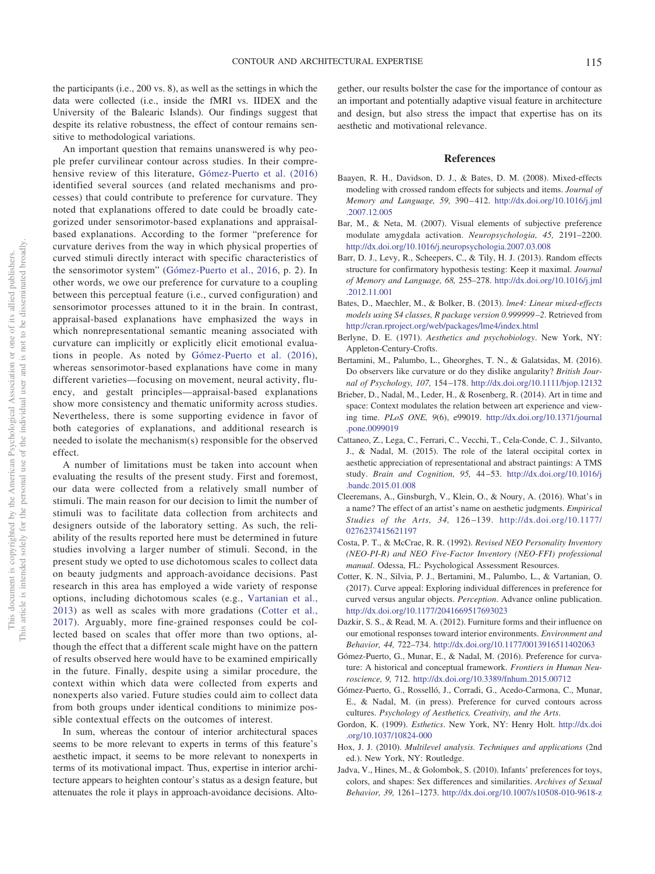the participants (i.e., 200 vs. 8), as well as the settings in which the data were collected (i.e., inside the fMRI vs. IIDEX and the University of the Balearic Islands). Our findings suggest that despite its relative robustness, the effect of contour remains sensitive to methodological variations.

An important question that remains unanswered is why people prefer curvilinear contour across studies. In their comprehensive review of this literature, [Gómez-Puerto et al. \(2016\)](#page-5-0) identified several sources (and related mechanisms and processes) that could contribute to preference for curvature. They noted that explanations offered to date could be broadly categorized under sensorimotor-based explanations and appraisalbased explanations. According to the former "preference for curvature derives from the way in which physical properties of curved stimuli directly interact with specific characteristics of the sensorimotor system" [\(Gómez-Puerto et al., 2016,](#page-5-0) p. 2). In other words, we owe our preference for curvature to a coupling between this perceptual feature (i.e., curved configuration) and sensorimotor processes attuned to it in the brain. In contrast, appraisal-based explanations have emphasized the ways in which nonrepresentational semantic meaning associated with curvature can implicitly or explicitly elicit emotional evaluations in people. As noted by [Gómez-Puerto et al. \(2016\),](#page-5-0) whereas sensorimotor-based explanations have come in many different varieties—focusing on movement, neural activity, fluency, and gestalt principles—appraisal-based explanations show more consistency and thematic uniformity across studies. Nevertheless, there is some supporting evidence in favor of both categories of explanations, and additional research is needed to isolate the mechanism(s) responsible for the observed effect.

A number of limitations must be taken into account when evaluating the results of the present study. First and foremost, our data were collected from a relatively small number of stimuli. The main reason for our decision to limit the number of stimuli was to facilitate data collection from architects and designers outside of the laboratory setting. As such, the reliability of the results reported here must be determined in future studies involving a larger number of stimuli. Second, in the present study we opted to use dichotomous scales to collect data on beauty judgments and approach-avoidance decisions. Past research in this area has employed a wide variety of response options, including dichotomous scales (e.g., [Vartanian et al.,](#page-6-6) [2013\)](#page-6-6) as well as scales with more gradations [\(Cotter et al.,](#page-5-7) [2017\)](#page-5-7). Arguably, more fine-grained responses could be collected based on scales that offer more than two options, although the effect that a different scale might have on the pattern of results observed here would have to be examined empirically in the future. Finally, despite using a similar procedure, the context within which data were collected from experts and nonexperts also varied. Future studies could aim to collect data from both groups under identical conditions to minimize possible contextual effects on the outcomes of interest.

In sum, whereas the contour of interior architectural spaces seems to be more relevant to experts in terms of this feature's aesthetic impact, it seems to be more relevant to nonexperts in terms of its motivational impact. Thus, expertise in interior architecture appears to heighten contour's status as a design feature, but attenuates the role it plays in approach-avoidance decisions. Altogether, our results bolster the case for the importance of contour as an important and potentially adaptive visual feature in architecture and design, but also stress the impact that expertise has on its aesthetic and motivational relevance.

#### **References**

- <span id="page-5-12"></span>Baayen, R. H., Davidson, D. J., & Bates, D. M. (2008). Mixed-effects modeling with crossed random effects for subjects and items. *Journal of Memory and Language, 59,* 390 – 412. [http://dx.doi.org/10.1016/j.jml](http://dx.doi.org/10.1016/j.jml.2007.12.005) [.2007.12.005](http://dx.doi.org/10.1016/j.jml.2007.12.005)
- <span id="page-5-2"></span>Bar, M., & Neta, M. (2007). Visual elements of subjective preference modulate amygdala activation. *Neuropsychologia, 45,* 2191–2200. <http://dx.doi.org/10.1016/j.neuropsychologia.2007.03.008>
- <span id="page-5-15"></span>Barr, D. J., Levy, R., Scheepers, C., & Tily, H. J. (2013). Random effects structure for confirmatory hypothesis testing: Keep it maximal. *Journal of Memory and Language, 68,* 255–278. [http://dx.doi.org/10.1016/j.jml](http://dx.doi.org/10.1016/j.jml.2012.11.001) [.2012.11.001](http://dx.doi.org/10.1016/j.jml.2012.11.001)
- <span id="page-5-16"></span>Bates, D., Maechler, M., & Bolker, B. (2013). *lme4: Linear mixed-effects models using S4 classes, R package version 0.999999 –2*. Retrieved from <http://cran.rproject.org/web/packages/lme4/index.html>
- <span id="page-5-9"></span>Berlyne, D. E. (1971). *Aesthetics and psychobiology*. New York, NY: Appleton-Century-Crofts.
- <span id="page-5-3"></span>Bertamini, M., Palumbo, L., Gheorghes, T. N., & Galatsidas, M. (2016). Do observers like curvature or do they dislike angularity? *British Journal of Psychology, 107,* 154 –178. <http://dx.doi.org/10.1111/bjop.12132>
- <span id="page-5-13"></span>Brieber, D., Nadal, M., Leder, H., & Rosenberg, R. (2014). Art in time and space: Context modulates the relation between art experience and viewing time. *PLoS ONE, 9*(6), e99019. [http://dx.doi.org/10.1371/journal](http://dx.doi.org/10.1371/journal.pone.0099019) [.pone.0099019](http://dx.doi.org/10.1371/journal.pone.0099019)
- <span id="page-5-14"></span>Cattaneo, Z., Lega, C., Ferrari, C., Vecchi, T., Cela-Conde, C. J., Silvanto, J., & Nadal, M. (2015). The role of the lateral occipital cortex in aesthetic appreciation of representational and abstract paintings: A TMS study. *Brain and Cognition, 95,* 44 –53. [http://dx.doi.org/10.1016/j](http://dx.doi.org/10.1016/j.bandc.2015.01.008) [.bandc.2015.01.008](http://dx.doi.org/10.1016/j.bandc.2015.01.008)
- <span id="page-5-10"></span>Cleeremans, A., Ginsburgh, V., Klein, O., & Noury, A. (2016). What's in a name? The effect of an artist's name on aesthetic judgments. *Empirical Studies of the Arts, 34,* 126 –139. [http://dx.doi.org/10.1177/](http://dx.doi.org/10.1177/0276237415621197) [0276237415621197](http://dx.doi.org/10.1177/0276237415621197)
- <span id="page-5-8"></span>Costa, P. T., & McCrae, R. R. (1992). *Revised NEO Personality Inventory (NEO-PI-R) and NEO Five-Factor Inventory (NEO-FFI) professional manual*. Odessa, FL: Psychological Assessment Resources.
- <span id="page-5-7"></span>Cotter, K. N., Silvia, P. J., Bertamini, M., Palumbo, L., & Vartanian, O. (2017). Curve appeal: Exploring individual differences in preference for curved versus angular objects. *Perception*. Advance online publication. <http://dx.doi.org/10.1177/2041669517693023>
- <span id="page-5-4"></span>Dazkir, S. S., & Read, M. A. (2012). Furniture forms and their influence on our emotional responses toward interior environments. *Environment and Behavior, 44,* 722–734. <http://dx.doi.org/10.1177/0013916511402063>
- <span id="page-5-0"></span>Gómez-Puerto, G., Munar, E., & Nadal, M. (2016). Preference for curvature: A historical and conceptual framework. *Frontiers in Human Neuroscience, 9,* 712. <http://dx.doi.org/10.3389/fnhum.2015.00712>
- <span id="page-5-6"></span>Gómez-Puerto, G., Rosselló, J., Corradi, G., Acedo-Carmona, C., Munar, E., & Nadal, M. (in press). Preference for curved contours across cultures. *Psychology of Aesthetics, Creativity, and the Arts*.
- <span id="page-5-1"></span>Gordon, K. (1909). *Esthetics*. New York, NY: Henry Holt. [http://dx.doi](http://dx.doi.org/10.1037/10824-000) [.org/10.1037/10824-000](http://dx.doi.org/10.1037/10824-000)
- <span id="page-5-11"></span>Hox, J. J. (2010). *Multilevel analysis. Techniques and applications* (2nd ed.). New York, NY: Routledge.
- <span id="page-5-5"></span>Jadva, V., Hines, M., & Golombok, S. (2010). Infants' preferences for toys, colors, and shapes: Sex differences and similarities. *Archives of Sexual Behavior, 39,* 1261–1273. <http://dx.doi.org/10.1007/s10508-010-9618-z>